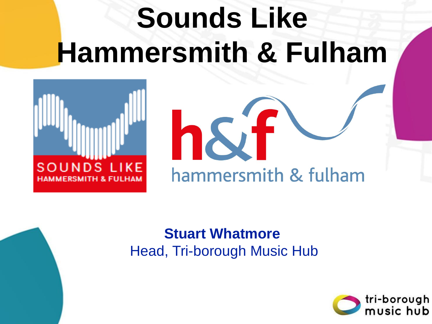# **Sounds Like Hammersmith & Fulham**





#### **Stuart Whatmore** Head, Tri-borough Music Hub

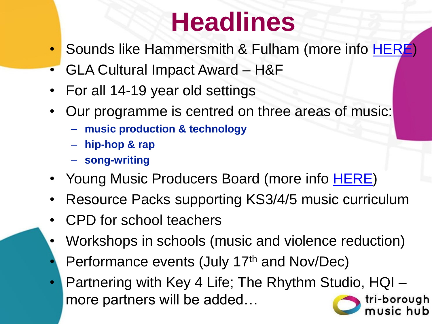## **Headlines**

- Sounds like Hammersmith & Fulham (more info [HERE\)](https://www.lbhf.gov.uk/arts-and-parks/sounds-hammersmith-fulhamhttps:/officesharedservice.sharepoint.com/sites/TriboroughMusicHub/cpd/202122/Autumn%2021%20CPD/SLHF%20(Aut%202021)/SLHF%20Music%20Hub%20(Nov%202021).pptx)
- GLA Cultural Impact Award H&F
- For all 14-19 year old settings
- Our programme is centred on three areas of music:
	- **music production & technology**
	- **hip-hop & rap**
	- **song-writing**
- Young Music Producers Board (more info **[HERE](http://www.lbhf.gov.uk/youngmusicproducers))**
- Resource Packs supporting KS3/4/5 music curriculum
- CPD for school teachers
- Workshops in schools (music and violence reduction)
- Performance events (July 17th and Nov/Dec)
- Partnering with Key 4 Life; The Rhythm Studio, HQI more partners will be added…tri-borouah ub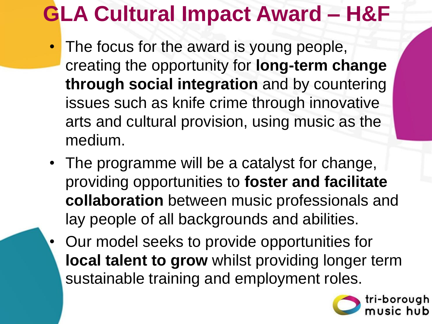### **GLA Cultural Impact Award – H&F**

- The focus for the award is young people, creating the opportunity for **long-term change through social integration** and by countering issues such as knife crime through innovative arts and cultural provision, using music as the medium.
- The programme will be a catalyst for change, providing opportunities to **foster and facilitate collaboration** between music professionals and lay people of all backgrounds and abilities.
- Our model seeks to provide opportunities for **local talent to grow** whilst providing longer term sustainable training and employment roles.

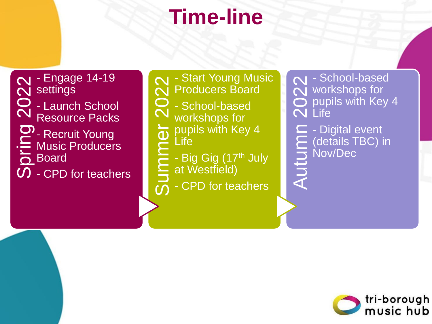### **Time-line**

N - Engage 14-19<br>
N settings<br>
O - Launch School<br>
D - Recruit Young<br>
D - Recruit Young<br>
D - CPD for teachers settings - Launch School Resource Packs - Recruit Young Music Producers **P** Board

N - Start Young Music<br>
N - School-based<br>
workshops for<br>
Dupils with Key 4<br>
Life<br>
Le - Big Gig (17<sup>th</sup> July<br>
at Westfield)<br>
D - CPD for teachers Producers Board - School-based workshops for pupils with Key 4 Life - Big Gig (17th July at Westfield) - CPD for teachers

Mred School-based<br>
Autor Workshops for<br>
Autor Life<br>
Contails TBC) in<br>
Mov/Dec<br>
Autor Container<br>
Container Nov<br>
Container Nov<br>
Container Nov<br>
Container Nov<br>
Container Nov<br>
Container Nov<br>
Container Nov<br>
Container Nov<br>
Contai workshops for pupils with Key 4 **N** Life - Digital event (details TBC) in Nov/Dec

```
tri-borough
music hub
```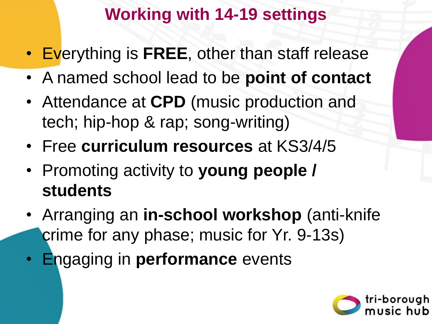### **Working with 14-19 settings**

- Everything is **FREE**, other than staff release
- A named school lead to be **point of contact**
- Attendance at **CPD** (music production and tech; hip-hop & rap; song-writing)
- Free **curriculum resources** at KS3/4/5
- Promoting activity to **young people / students**
- Arranging an **in-school workshop** (anti-knife crime for any phase; music for Yr. 9-13s)
- Engaging in **performance** events